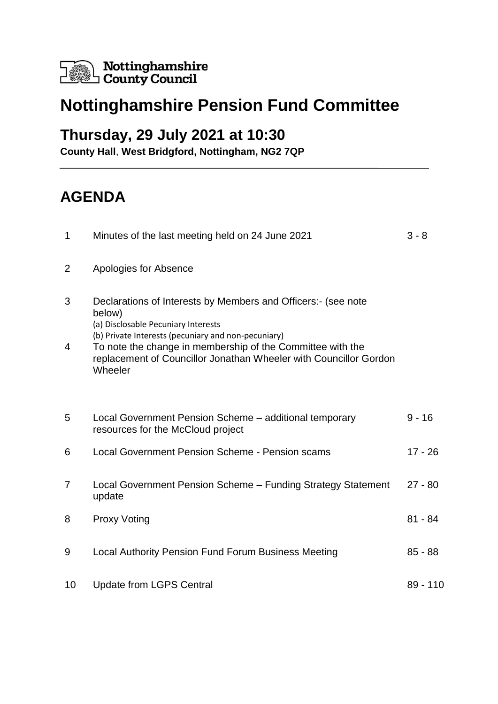

# **Nottinghamshire Pension Fund Committee**

### **Thursday, 29 July 2021 at 10:30**

**County Hall**, **West Bridgford, Nottingham, NG2 7QP**

## **AGENDA**

| 1              | Minutes of the last meeting held on 24 June 2021                                                                                                                                                                                    | $3 - 8$   |
|----------------|-------------------------------------------------------------------------------------------------------------------------------------------------------------------------------------------------------------------------------------|-----------|
| $\overline{2}$ | Apologies for Absence                                                                                                                                                                                                               |           |
| 3<br>4         | Declarations of Interests by Members and Officers:- (see note<br>below)<br>(a) Disclosable Pecuniary Interests<br>(b) Private Interests (pecuniary and non-pecuniary)<br>To note the change in membership of the Committee with the |           |
|                | replacement of Councillor Jonathan Wheeler with Councillor Gordon<br>Wheeler                                                                                                                                                        |           |
|                |                                                                                                                                                                                                                                     |           |
| 5              | Local Government Pension Scheme - additional temporary<br>resources for the McCloud project                                                                                                                                         | $9 - 16$  |
| 6              | Local Government Pension Scheme - Pension scams                                                                                                                                                                                     | 17 - 26   |
| $\overline{7}$ | Local Government Pension Scheme - Funding Strategy Statement<br>update                                                                                                                                                              | $27 - 80$ |
| 8              | <b>Proxy Voting</b>                                                                                                                                                                                                                 | $81 - 84$ |
| 9              | <b>Local Authority Pension Fund Forum Business Meeting</b>                                                                                                                                                                          | $85 - 88$ |
| 10             | <b>Update from LGPS Central</b>                                                                                                                                                                                                     | 89 - 110  |